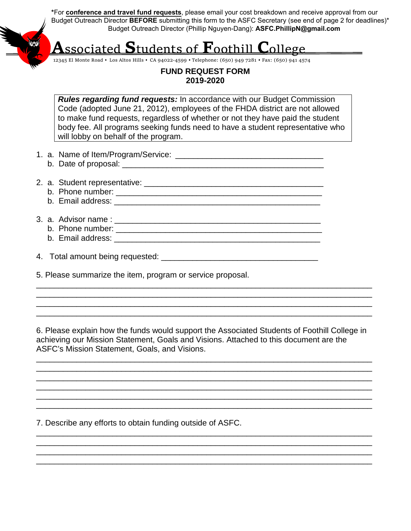**\***For **conference and travel fund requests**, please email your cost breakdown and receive approval from our Budget Outreach Director **BEFORE** submitting this form to the ASFC Secretary (see end of page 2 for deadlines)\* Budget Outreach Director (Phillip Nguyen-Dang): **ASFC.PhillipN@gmail.com**

# **A**ssociated **S**tudents of **F**oothill **C**ollege

12345 El Monte Road ♦ Los Altos Hills ♦ CA 94022-4599 ♦ Telephone: (650) 949 7281 ♦ Fax: (650) 941 4574

#### **FUND REQUEST FORM 2019-2020**

*Rules regarding fund requests:* In accordance with our Budget Commission Code (adopted June 21, 2012), employees of the FHDA district are not allowed to make fund requests, regardless of whether or not they have paid the student body fee. All programs seeking funds need to have a student representative who will lobby on behalf of the program.

- 1. a. Name of Item/Program/Service: \_\_\_\_\_\_\_\_\_\_\_\_\_\_\_\_\_\_\_\_\_\_\_\_\_\_\_\_\_\_\_\_\_
	- b. Date of proposal: \_\_\_\_\_\_\_\_\_\_\_\_\_\_\_\_\_\_\_\_\_\_\_\_\_\_\_\_\_\_\_\_\_\_\_\_\_\_\_\_\_\_\_\_\_
- 2. a. Student representative: \_\_\_\_\_\_\_\_\_\_\_\_\_\_\_\_\_\_\_\_\_\_\_\_\_\_\_\_\_\_\_\_\_\_\_\_\_\_\_\_
	- b. Phone number: \_\_\_\_\_\_\_\_\_\_\_\_\_\_\_\_\_\_\_\_\_\_\_\_\_\_\_\_\_\_\_\_\_\_\_\_\_\_\_\_\_\_\_\_\_\_
	- b. Email address:  $\blacksquare$
- 3. a. Advisor name : \_\_\_\_\_\_\_\_\_\_\_\_\_\_\_\_\_\_\_\_\_\_\_\_\_\_\_\_\_\_\_\_\_\_\_\_\_\_\_\_\_\_\_\_\_\_
	- b. Phone number: \_\_\_\_\_\_\_\_\_\_\_\_\_\_\_\_\_\_\_\_\_\_\_\_\_\_\_\_\_\_\_\_\_\_\_\_\_\_\_\_\_\_\_\_\_\_ b. Email address: \_\_\_\_\_\_\_\_\_\_\_\_\_\_\_\_\_\_\_\_\_\_\_\_\_\_\_\_\_\_\_\_\_\_\_\_\_\_\_\_\_\_\_\_\_\_
		-

4. Total amount being requested: \_\_\_\_\_\_\_\_\_\_\_\_\_\_\_\_\_\_\_\_\_\_\_\_\_\_\_\_\_\_\_\_\_\_\_

5. Please summarize the item, program or service proposal.

6. Please explain how the funds would support the Associated Students of Foothill College in achieving our Mission Statement, Goals and Visions. Attached to this document are the ASFC's Mission Statement, Goals, and Visions.

\_\_\_\_\_\_\_\_\_\_\_\_\_\_\_\_\_\_\_\_\_\_\_\_\_\_\_\_\_\_\_\_\_\_\_\_\_\_\_\_\_\_\_\_\_\_\_\_\_\_\_\_\_\_\_\_\_\_\_\_\_\_\_\_\_\_\_\_\_\_\_\_\_\_\_ \_\_\_\_\_\_\_\_\_\_\_\_\_\_\_\_\_\_\_\_\_\_\_\_\_\_\_\_\_\_\_\_\_\_\_\_\_\_\_\_\_\_\_\_\_\_\_\_\_\_\_\_\_\_\_\_\_\_\_\_\_\_\_\_\_\_\_\_\_\_\_\_\_\_\_ \_\_\_\_\_\_\_\_\_\_\_\_\_\_\_\_\_\_\_\_\_\_\_\_\_\_\_\_\_\_\_\_\_\_\_\_\_\_\_\_\_\_\_\_\_\_\_\_\_\_\_\_\_\_\_\_\_\_\_\_\_\_\_\_\_\_\_\_\_\_\_\_\_\_\_ \_\_\_\_\_\_\_\_\_\_\_\_\_\_\_\_\_\_\_\_\_\_\_\_\_\_\_\_\_\_\_\_\_\_\_\_\_\_\_\_\_\_\_\_\_\_\_\_\_\_\_\_\_\_\_\_\_\_\_\_\_\_\_\_\_\_\_\_\_\_\_\_\_\_\_ \_\_\_\_\_\_\_\_\_\_\_\_\_\_\_\_\_\_\_\_\_\_\_\_\_\_\_\_\_\_\_\_\_\_\_\_\_\_\_\_\_\_\_\_\_\_\_\_\_\_\_\_\_\_\_\_\_\_\_\_\_\_\_\_\_\_\_\_\_\_\_\_\_\_\_ \_\_\_\_\_\_\_\_\_\_\_\_\_\_\_\_\_\_\_\_\_\_\_\_\_\_\_\_\_\_\_\_\_\_\_\_\_\_\_\_\_\_\_\_\_\_\_\_\_\_\_\_\_\_\_\_\_\_\_\_\_\_\_\_\_\_\_\_\_\_\_\_\_\_\_

\_\_\_\_\_\_\_\_\_\_\_\_\_\_\_\_\_\_\_\_\_\_\_\_\_\_\_\_\_\_\_\_\_\_\_\_\_\_\_\_\_\_\_\_\_\_\_\_\_\_\_\_\_\_\_\_\_\_\_\_\_\_\_\_\_\_\_\_\_\_\_\_\_\_\_ \_\_\_\_\_\_\_\_\_\_\_\_\_\_\_\_\_\_\_\_\_\_\_\_\_\_\_\_\_\_\_\_\_\_\_\_\_\_\_\_\_\_\_\_\_\_\_\_\_\_\_\_\_\_\_\_\_\_\_\_\_\_\_\_\_\_\_\_\_\_\_\_\_\_\_ \_\_\_\_\_\_\_\_\_\_\_\_\_\_\_\_\_\_\_\_\_\_\_\_\_\_\_\_\_\_\_\_\_\_\_\_\_\_\_\_\_\_\_\_\_\_\_\_\_\_\_\_\_\_\_\_\_\_\_\_\_\_\_\_\_\_\_\_\_\_\_\_\_\_\_ \_\_\_\_\_\_\_\_\_\_\_\_\_\_\_\_\_\_\_\_\_\_\_\_\_\_\_\_\_\_\_\_\_\_\_\_\_\_\_\_\_\_\_\_\_\_\_\_\_\_\_\_\_\_\_\_\_\_\_\_\_\_\_\_\_\_\_\_\_\_\_\_\_\_\_

\_\_\_\_\_\_\_\_\_\_\_\_\_\_\_\_\_\_\_\_\_\_\_\_\_\_\_\_\_\_\_\_\_\_\_\_\_\_\_\_\_\_\_\_\_\_\_\_\_\_\_\_\_\_\_\_\_\_\_\_\_\_\_\_\_\_\_\_\_\_\_\_\_\_\_ \_\_\_\_\_\_\_\_\_\_\_\_\_\_\_\_\_\_\_\_\_\_\_\_\_\_\_\_\_\_\_\_\_\_\_\_\_\_\_\_\_\_\_\_\_\_\_\_\_\_\_\_\_\_\_\_\_\_\_\_\_\_\_\_\_\_\_\_\_\_\_\_\_\_\_ \_\_\_\_\_\_\_\_\_\_\_\_\_\_\_\_\_\_\_\_\_\_\_\_\_\_\_\_\_\_\_\_\_\_\_\_\_\_\_\_\_\_\_\_\_\_\_\_\_\_\_\_\_\_\_\_\_\_\_\_\_\_\_\_\_\_\_\_\_\_\_\_\_\_\_ \_\_\_\_\_\_\_\_\_\_\_\_\_\_\_\_\_\_\_\_\_\_\_\_\_\_\_\_\_\_\_\_\_\_\_\_\_\_\_\_\_\_\_\_\_\_\_\_\_\_\_\_\_\_\_\_\_\_\_\_\_\_\_\_\_\_\_\_\_\_\_\_\_\_\_

7. Describe any efforts to obtain funding outside of ASFC.